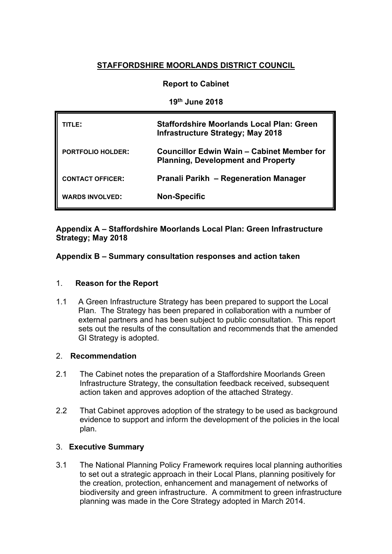# **STAFFORDSHIRE MOORLANDS DISTRICT COUNCIL**

## **Report to Cabinet**

**19th June 2018**

| TITLE:                   | <b>Staffordshire Moorlands Local Plan: Green</b><br><b>Infrastructure Strategy; May 2018</b> |
|--------------------------|----------------------------------------------------------------------------------------------|
| <b>PORTFOLIO HOLDER:</b> | Councillor Edwin Wain – Cabinet Member for<br><b>Planning, Development and Property</b>      |
| <b>CONTACT OFFICER:</b>  | <b>Pranali Parikh - Regeneration Manager</b>                                                 |
| <b>WARDS INVOLVED:</b>   | <b>Non-Specific</b>                                                                          |

## **Appendix A – Staffordshire Moorlands Local Plan: Green Infrastructure Strategy; May 2018**

**Appendix B – Summary consultation responses and action taken**

## 1. **Reason for the Report**

1.1 A Green Infrastructure Strategy has been prepared to support the Local Plan. The Strategy has been prepared in collaboration with a number of external partners and has been subject to public consultation. This report sets out the results of the consultation and recommends that the amended GI Strategy is adopted.

## 2. **Recommendation**

- 2.1 The Cabinet notes the preparation of a Staffordshire Moorlands Green Infrastructure Strategy, the consultation feedback received, subsequent action taken and approves adoption of the attached Strategy.
- 2.2 That Cabinet approves adoption of the strategy to be used as background evidence to support and inform the development of the policies in the local plan.

## 3. **Executive Summary**

3.1 The National Planning Policy Framework requires local planning authorities to set out a strategic approach in their Local Plans, planning positively for the creation, protection, enhancement and management of networks of biodiversity and green infrastructure. A commitment to green infrastructure planning was made in the Core Strategy adopted in March 2014.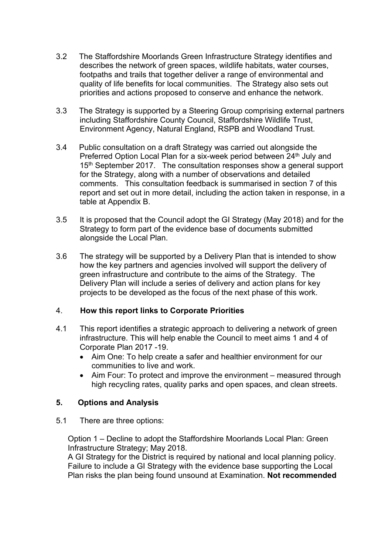- 3.2 The Staffordshire Moorlands Green Infrastructure Strategy identifies and describes the network of green spaces, wildlife habitats, water courses, footpaths and trails that together deliver a range of environmental and quality of life benefits for local communities. The Strategy also sets out priorities and actions proposed to conserve and enhance the network.
- 3.3 The Strategy is supported by a Steering Group comprising external partners including Staffordshire County Council, Staffordshire Wildlife Trust, Environment Agency, Natural England, RSPB and Woodland Trust.
- 3.4 Public consultation on a draft Strategy was carried out alongside the Preferred Option Local Plan for a six-week period between 24<sup>th</sup> July and 15<sup>th</sup> September 2017. The consultation responses show a general support for the Strategy, along with a number of observations and detailed comments. This consultation feedback is summarised in section 7 of this report and set out in more detail, including the action taken in response, in a table at Appendix B.
- 3.5 It is proposed that the Council adopt the GI Strategy (May 2018) and for the Strategy to form part of the evidence base of documents submitted alongside the Local Plan.
- 3.6 The strategy will be supported by a Delivery Plan that is intended to show how the key partners and agencies involved will support the delivery of green infrastructure and contribute to the aims of the Strategy. The Delivery Plan will include a series of delivery and action plans for key projects to be developed as the focus of the next phase of this work.

## 4. **How this report links to Corporate Priorities**

- 4.1 This report identifies a strategic approach to delivering a network of green infrastructure. This will help enable the Council to meet aims 1 and 4 of Corporate Plan 2017 -19.
	- Aim One: To help create a safer and healthier environment for our communities to live and work.
	- Aim Four: To protect and improve the environment measured through high recycling rates, quality parks and open spaces, and clean streets.

## **5. Options and Analysis**

5.1 There are three options:

Option 1 – Decline to adopt the Staffordshire Moorlands Local Plan: Green Infrastructure Strategy; May 2018.

A GI Strategy for the District is required by national and local planning policy. Failure to include a GI Strategy with the evidence base supporting the Local Plan risks the plan being found unsound at Examination. **Not recommended**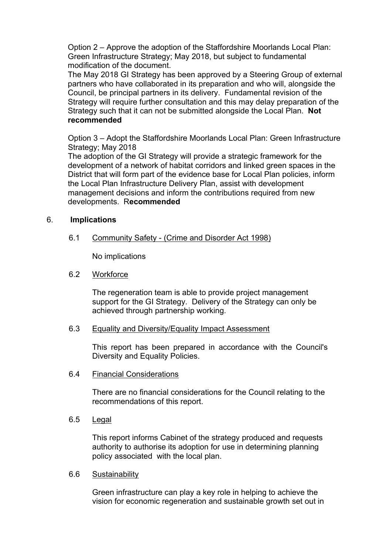Option 2 – Approve the adoption of the Staffordshire Moorlands Local Plan: Green Infrastructure Strategy; May 2018, but subject to fundamental modification of the document.

The May 2018 GI Strategy has been approved by a Steering Group of external partners who have collaborated in its preparation and who will, alongside the Council, be principal partners in its delivery. Fundamental revision of the Strategy will require further consultation and this may delay preparation of the Strategy such that it can not be submitted alongside the Local Plan. **Not recommended**

Option 3 – Adopt the Staffordshire Moorlands Local Plan: Green Infrastructure Strategy; May 2018

The adoption of the GI Strategy will provide a strategic framework for the development of a network of habitat corridors and linked green spaces in the District that will form part of the evidence base for Local Plan policies, inform the Local Plan Infrastructure Delivery Plan, assist with development management decisions and inform the contributions required from new developments. R**ecommended**

#### 6. **Implications**

6.1 Community Safety - (Crime and Disorder Act 1998)

No implications

#### 6.2 Workforce

The regeneration team is able to provide project management support for the GI Strategy. Delivery of the Strategy can only be achieved through partnership working.

#### 6.3 Equality and Diversity/Equality Impact Assessment

This report has been prepared in accordance with the Council's Diversity and Equality Policies.

#### 6.4 Financial Considerations

There are no financial considerations for the Council relating to the recommendations of this report.

6.5 Legal

This report informs Cabinet of the strategy produced and requests authority to authorise its adoption for use in determining planning policy associated with the local plan.

#### 6.6 Sustainability

Green infrastructure can play a key role in helping to achieve the vision for economic regeneration and sustainable growth set out in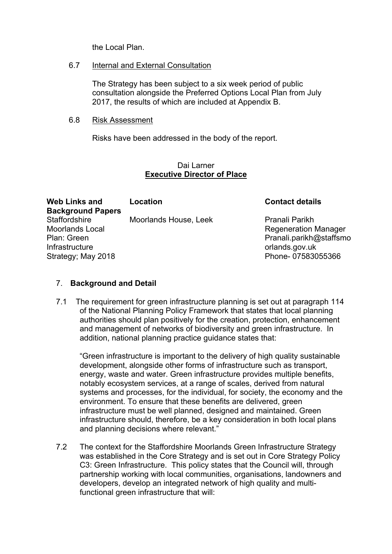the Local Plan.

## 6.7 Internal and External Consultation

The Strategy has been subject to a six week period of public consultation alongside the Preferred Options Local Plan from July 2017, the results of which are included at Appendix B.

## 6.8 Risk Assessment

Risks have been addressed in the body of the report.

### Dai Larner **Executive Director of Place**

| <b>Web Links and</b><br><b>Background Papers</b>                                                      | Location              | <b>Contact details</b>                                                                                          |
|-------------------------------------------------------------------------------------------------------|-----------------------|-----------------------------------------------------------------------------------------------------------------|
| <b>Staffordshire</b><br><b>Moorlands Local</b><br>Plan: Green<br>Infrastructure<br>Strategy; May 2018 | Moorlands House, Leek | Pranali Parikh<br><b>Regeneration Manager</b><br>Pranali.parikh@staffsmo<br>orlands.gov.uk<br>Phone-07583055366 |

## 7. **Background and Detail**

7.1 The requirement for green infrastructure planning is set out at paragraph 114 of the National Planning Policy Framework that states that local planning authorities should plan positively for the creation, protection, enhancement and management of networks of biodiversity and green infrastructure. In addition, national planning practice guidance states that:

"Green infrastructure is important to the delivery of high quality sustainable development, alongside other forms of infrastructure such as transport, energy, waste and water. Green infrastructure provides multiple benefits, notably ecosystem services, at a range of scales, derived from natural systems and processes, for the individual, for society, the economy and the environment. To ensure that these benefits are delivered, green infrastructure must be well planned, designed and maintained. Green infrastructure should, therefore, be a key consideration in both local plans and planning decisions where relevant."

7.2 The context for the Staffordshire Moorlands Green Infrastructure Strategy was established in the Core Strategy and is set out in Core Strategy Policy C3: Green Infrastructure. This policy states that the Council will, through partnership working with local communities, organisations, landowners and developers, develop an integrated network of high quality and multifunctional green infrastructure that will: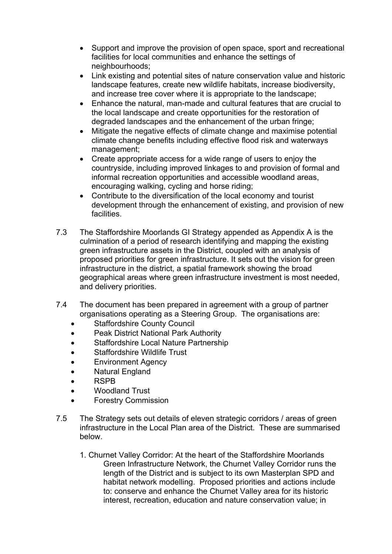- Support and improve the provision of open space, sport and recreational facilities for local communities and enhance the settings of neighbourhoods;
- Link existing and potential sites of nature conservation value and historic landscape features, create new wildlife habitats, increase biodiversity, and increase tree cover where it is appropriate to the landscape;
- Enhance the natural, man-made and cultural features that are crucial to the local landscape and create opportunities for the restoration of degraded landscapes and the enhancement of the urban fringe;
- Mitigate the negative effects of climate change and maximise potential climate change benefits including effective flood risk and waterways management;
- Create appropriate access for a wide range of users to enjoy the countryside, including improved linkages to and provision of formal and informal recreation opportunities and accessible woodland areas, encouraging walking, cycling and horse riding;
- Contribute to the diversification of the local economy and tourist development through the enhancement of existing, and provision of new facilities.
- 7.3 The Staffordshire Moorlands GI Strategy appended as Appendix A is the culmination of a period of research identifying and mapping the existing green infrastructure assets in the District, coupled with an analysis of proposed priorities for green infrastructure. It sets out the vision for green infrastructure in the district, a spatial framework showing the broad geographical areas where green infrastructure investment is most needed, and delivery priorities.
- 7.4 The document has been prepared in agreement with a group of partner organisations operating as a Steering Group. The organisations are:
	- Staffordshire County Council
	- Peak District National Park Authority
	- Staffordshire Local Nature Partnership
	- Staffordshire Wildlife Trust
	- Environment Agency
	- Natural England
	- **RSPB**
	- Woodland Trust
	- Forestry Commission
- 7.5 The Strategy sets out details of eleven strategic corridors / areas of green infrastructure in the Local Plan area of the District. These are summarised below.
	- 1. Churnet Valley Corridor: At the heart of the Staffordshire Moorlands Green Infrastructure Network, the Churnet Valley Corridor runs the length of the District and is subject to its own Masterplan SPD and habitat network modelling. Proposed priorities and actions include to: conserve and enhance the Churnet Valley area for its historic interest, recreation, education and nature conservation value; in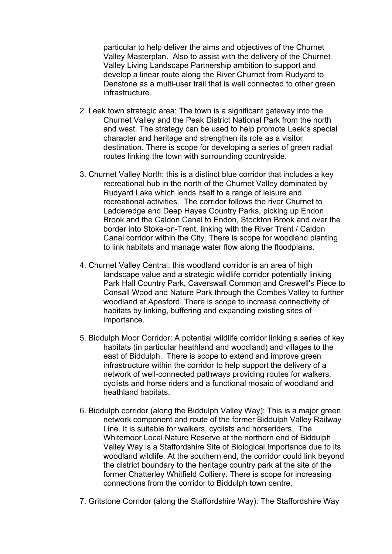particular to help deliver the aims and objectives of the Churnet Valley Masterplan. Also to assist with the delivery of the Churnet Valley Living Landscape Partnership ambition to support and develop a linear route along the River Churnet from Rudyard to Denstone as a multi-user trail that is well connected to other green infrastructure.

- 2. Leek town strategic area: The town is a significant gateway into the Churnet Valley and the Peak District National Park from the north and west. The strategy can be used to help promote Leek's special character and heritage and strengthen its role as a visitor destination. There is scope for developing a series of green radial routes linking the town with surrounding countryside.
- 3. Churnet Valley North: this is a distinct blue corridor that includes a key recreational hub in the north of the Churnet Valley dominated by Rudyard Lake which lends itself to a range of leisure and recreational activities. The corridor follows the river Churnet to Ladderedge and Deep Hayes Country Parks, picking up Endon Brook and the Caldon Canal to Endon, Stockton Brook and over the border into Stoke-on-Trent, linking with the River Trent / Caldon Canal corridor within the City. There is scope for woodland planting to link habitats and manage water flow along the floodplains.
- 4. Churnet Valley Central: this woodland corridor is an area of high landscape value and a strategic wildlife corridor potentially linking Park Hall Country Park, Caverswall Common and Creswell's Piece to Consall Wood and Nature Park through the Combes Valley to further woodland at Apesford. There is scope to increase connectivity of habitats by linking, buffering and expanding existing sites of importance.
- 5. Biddulph Moor Corridor: A potential wildlife corridor linking a series of key habitats (in particular heathland and woodland) and villages to the east of Biddulph. There is scope to extend and improve green infrastructure within the corridor to help support the delivery of a network of well-connected pathways providing routes for walkers, cyclists and horse riders and a functional mosaic of woodland and heathland habitats.
- 6. Biddulph corridor (along the Biddulph Valley Way): This is a major green network component and route of the former Biddulph Valley Railway Line. It is suitable for walkers, cyclists and horseriders. The Whitemoor Local Nature Reserve at the northern end of Biddulph Valley Way is a Staffordshire Site of Biological Importance due to its woodland wildlife. At the southern end, the corridor could link beyond the district boundary to the heritage country park at the site of the former Chatterley Whitfield Colliery. There is scope for increasing connections from the corridor to Biddulph town centre.
- 7. Gritstone Corridor (along the Staffordshire Way): The Staffordshire Way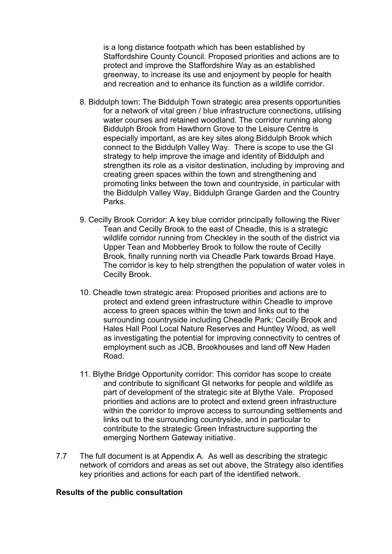is a long distance footpath which has been established by Staffordshire County Council. Proposed priorities and actions are to protect and improve the Staffordshire Way as an established greenway, to increase its use and enjoyment by people for health and recreation and to enhance its function as a wildlife corridor.

- 8. Biddulph town: The Biddulph Town strategic area presents opportunities for a network of vital green / blue infrastructure connections, utilising water courses and retained woodland. The corridor running along Biddulph Brook from Hawthorn Grove to the Leisure Centre is especially important, as are key sites along Biddulph Brook which connect to the Biddulph Valley Way. There is scope to use the GI strategy to help improve the image and identity of Biddulph and strengthen its role as a visitor destination, including by improving and creating green spaces within the town and strengthening and promoting links between the town and countryside, in particular with the Biddulph Valley Way, Biddulph Grange Garden and the Country Parks.
- 9. Cecilly Brook Corridor: A key blue corridor principally following the River Tean and Cecilly Brook to the east of Cheadle, this is a strategic wildlife corridor running from Checkley in the south of the district via Upper Tean and Mobberley Brook to follow the route of Cecilly Brook, finally running north via Cheadle Park towards Broad Haye. The corridor is key to help strengthen the population of water voles in Cecilly Brook.
- 10. Cheadle town strategic area: Proposed priorities and actions are to protect and extend green infrastructure within Cheadle to improve access to green spaces within the town and links out to the surrounding countryside including Cheadle Park; Cecilly Brook and Hales Hall Pool Local Nature Reserves and Huntley Wood, as well as investigating the potential for improving connectivity to centres of employment such as JCB, Brookhouses and land off New Haden Road.
- 11. Blythe Bridge Opportunity corridor: This corridor has scope to create and contribute to significant GI networks for people and wildlife as part of development of the strategic site at Blythe Vale. Proposed priorities and actions are to protect and extend green infrastructure within the corridor to improve access to surrounding settlements and links out to the surrounding countryside, and in particular to contribute to the strategic Green Infrastructure supporting the emerging Northern Gateway initiative.
- 7.7 The full document is at Appendix A. As well as describing the strategic network of corridors and areas as set out above, the Strategy also identifies key priorities and actions for each part of the identified network.

#### **Results of the public consultation**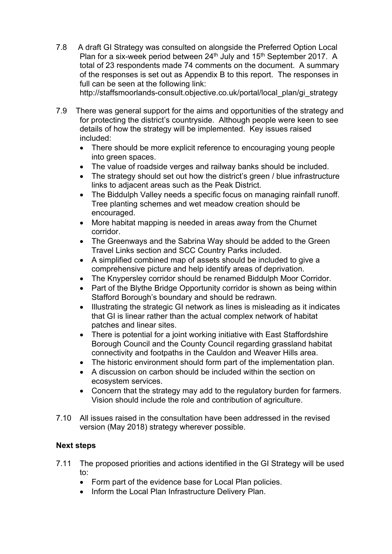7.8 A draft GI Strategy was consulted on alongside the Preferred Option Local Plan for a six-week period between 24<sup>th</sup> July and 15<sup>th</sup> September 2017. A total of 23 respondents made 74 comments on the document. A summary of the responses is set out as Appendix B to this report. The responses in full can be seen at the following link:

http://staffsmoorlands-consult.objective.co.uk/portal/local\_plan/gi\_strategy

- 7.9 There was general support for the aims and opportunities of the strategy and for protecting the district's countryside. Although people were keen to see details of how the strategy will be implemented. Key issues raised included:
	- There should be more explicit reference to encouraging young people into green spaces.
	- The value of roadside verges and railway banks should be included.
	- The strategy should set out how the district's green / blue infrastructure links to adjacent areas such as the Peak District.
	- The Biddulph Valley needs a specific focus on managing rainfall runoff. Tree planting schemes and wet meadow creation should be encouraged.
	- More habitat mapping is needed in areas away from the Churnet corridor.
	- The Greenways and the Sabrina Way should be added to the Green Travel Links section and SCC Country Parks included.
	- A simplified combined map of assets should be included to give a comprehensive picture and help identify areas of deprivation.
	- The Knypersley corridor should be renamed Biddulph Moor Corridor.
	- Part of the Blythe Bridge Opportunity corridor is shown as being within Stafford Borough's boundary and should be redrawn.
	- Illustrating the strategic GI network as lines is misleading as it indicates that GI is linear rather than the actual complex network of habitat patches and linear sites.
	- There is potential for a joint working initiative with East Staffordshire Borough Council and the County Council regarding grassland habitat connectivity and footpaths in the Cauldon and Weaver Hills area.
	- The historic environment should form part of the implementation plan.
	- A discussion on carbon should be included within the section on ecosystem services.
	- Concern that the strategy may add to the regulatory burden for farmers. Vision should include the role and contribution of agriculture.
- 7.10 All issues raised in the consultation have been addressed in the revised version (May 2018) strategy wherever possible.

## **Next steps**

- 7.11 The proposed priorities and actions identified in the GI Strategy will be used to:
	- Form part of the evidence base for Local Plan policies.
	- Inform the Local Plan Infrastructure Delivery Plan.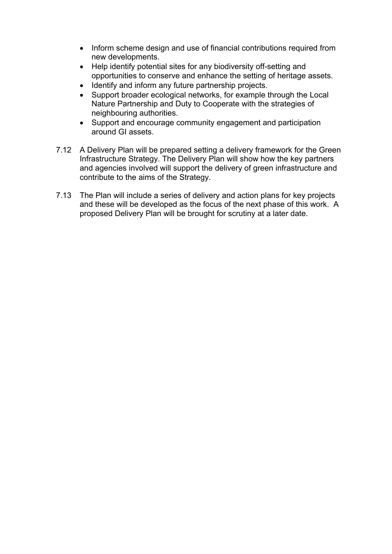- Inform scheme design and use of financial contributions required from new developments.
- Help identify potential sites for any biodiversity off-setting and opportunities to conserve and enhance the setting of heritage assets.
- Identify and inform any future partnership projects.
- Support broader ecological networks, for example through the Local Nature Partnership and Duty to Cooperate with the strategies of neighbouring authorities.
- Support and encourage community engagement and participation around GI assets.
- 7.12 A Delivery Plan will be prepared setting a delivery framework for the Green Infrastructure Strategy. The Delivery Plan will show how the key partners and agencies involved will support the delivery of green infrastructure and contribute to the aims of the Strategy.
- 7.13 The Plan will include a series of delivery and action plans for key projects and these will be developed as the focus of the next phase of this work. A proposed Delivery Plan will be brought for scrutiny at a later date.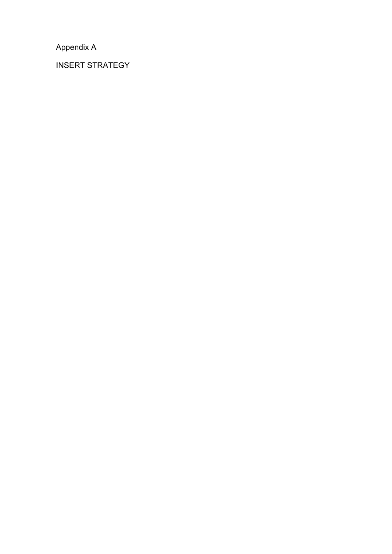Appendix A

INSERT STRATEGY